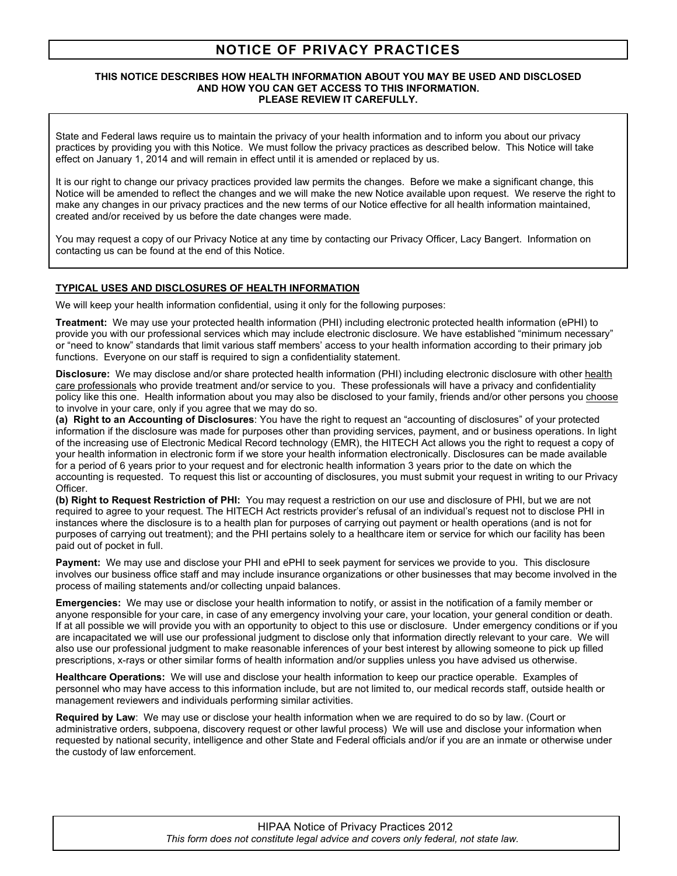# **NOTICE OF PRIVACY PRACTICES**

#### **THIS NOTICE DESCRIBES HOW HEALTH INFORMATION ABOUT YOU MAY BE USED AND DISCLOSED AND HOW YOU CAN GET ACCESS TO THIS INFORMATION. PLEASE REVIEW IT CAREFULLY.**

State and Federal laws require us to maintain the privacy of your health information and to inform you about our privacy practices by providing you with this Notice. We must follow the privacy practices as described below. This Notice will take effect on January 1, 2014 and will remain in effect until it is amended or replaced by us.

It is our right to change our privacy practices provided law permits the changes. Before we make a significant change, this Notice will be amended to reflect the changes and we will make the new Notice available upon request. We reserve the right to make any changes in our privacy practices and the new terms of our Notice effective for all health information maintained, created and/or received by us before the date changes were made.

You may request a copy of our Privacy Notice at any time by contacting our Privacy Officer, Lacy Bangert. Information on contacting us can be found at the end of this Notice.

## **TYPICAL USES AND DISCLOSURES OF HEALTH INFORMATION**

We will keep your health information confidential, using it only for the following purposes:

**Treatment:** We may use your protected health information (PHI) including electronic protected health information (ePHI) to provide you with our professional services which may include electronic disclosure. We have established "minimum necessary" or "need to know" standards that limit various staff members' access to your health information according to their primary job functions. Everyone on our staff is required to sign a confidentiality statement.

**Disclosure:** We may disclose and/or share protected health information (PHI) including electronic disclosure with other health care professionals who provide treatment and/or service to you. These professionals will have a privacy and confidentiality policy like this one. Health information about you may also be disclosed to your family, friends and/or other persons you choose to involve in your care, only if you agree that we may do so.

**(a) Right to an Accounting of Disclosures**: You have the right to request an "accounting of disclosures" of your protected information if the disclosure was made for purposes other than providing services, payment, and or business operations. In light of the increasing use of Electronic Medical Record technology (EMR), the HITECH Act allows you the right to request a copy of your health information in electronic form if we store your health information electronically. Disclosures can be made available for a period of 6 years prior to your request and for electronic health information 3 years prior to the date on which the accounting is requested. To request this list or accounting of disclosures, you must submit your request in writing to our Privacy Officer.

**(b) Right to Request Restriction of PHI:** You may request a restriction on our use and disclosure of PHI, but we are not required to agree to your request. The HITECH Act restricts provider's refusal of an individual's request not to disclose PHI in instances where the disclosure is to a health plan for purposes of carrying out payment or health operations (and is not for purposes of carrying out treatment); and the PHI pertains solely to a healthcare item or service for which our facility has been paid out of pocket in full.

**Payment:** We may use and disclose your PHI and ePHI to seek payment for services we provide to you. This disclosure involves our business office staff and may include insurance organizations or other businesses that may become involved in the process of mailing statements and/or collecting unpaid balances.

**Emergencies:** We may use or disclose your health information to notify, or assist in the notification of a family member or anyone responsible for your care, in case of any emergency involving your care, your location, your general condition or death. If at all possible we will provide you with an opportunity to object to this use or disclosure. Under emergency conditions or if you are incapacitated we will use our professional judgment to disclose only that information directly relevant to your care. We will also use our professional judgment to make reasonable inferences of your best interest by allowing someone to pick up filled prescriptions, x-rays or other similar forms of health information and/or supplies unless you have advised us otherwise.

**Healthcare Operations:** We will use and disclose your health information to keep our practice operable. Examples of personnel who may have access to this information include, but are not limited to, our medical records staff, outside health or management reviewers and individuals performing similar activities.

**Required by Law**: We may use or disclose your health information when we are required to do so by law. (Court or administrative orders, subpoena, discovery request or other lawful process) We will use and disclose your information when requested by national security, intelligence and other State and Federal officials and/or if you are an inmate or otherwise under the custody of law enforcement.